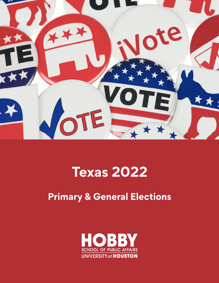

# **Texas 2022**

## **Primary & General Elections**

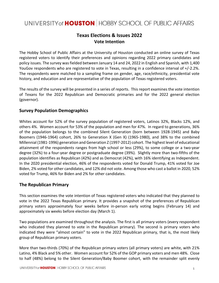### UNIVERSITY of **HOUSTON** HOBBY SCHOOL OF PUBLIC AFFAIRS

#### **Texas Elections & Issues 2022 Vote Intention**

The Hobby School of Public Affairs at the University of Houston conducted an online survey of Texas registered voters to identify their preferences and opinions regarding 2022 primary candidates and policy issues. The survey wasfielded between January 14 and 24, 2022 in English and Spanish, with 1,400 YouGov respondents who are registered to vote in Texas, resulting in a confidence interval of +/‐2.2%. The respondents were matched to a sampling frame on gender, age, race/ethnicity, presidential vote history, and education and are representative of the population of Texas registered voters.

The results of the survey will be presented in a series of reports. Thisreport examines the vote intention of Texans for the 2022 Republican and Democratic primaries and for the 2022 general election (governor).

#### **Survey Population Demographics**

Whites account for 52% of the survey population of registered voters, Latinos 32%, Blacks 12%, and others 4%. Women account for 53% of the population and men for 47%. In regard to generations, 36% of the population belongs to the combined Silent Generation (born between 1928‐1945) and Baby Boomers (1946‐1964) cohort, 26% to Generation X (Gen X) (1965‐1980), and 38% to the combined Millennial (1981‐1996) generation and Generation Z (1997‐2012) cohort. The highest level of educational attainment of the respondents ranges from high school or less (29%), to some college or a two‐year degree (32%) to a four‐year degree or postgraduate degree (39%). Slightly more than two‐fifths of the population identifies as Republican (42%) and as Democrat (42%), with 16% identifying as Independent. In the 2020 presidential election, 46% of the respondents voted for Donald Trump, 41% voted for Joe Biden, 2% voted for other candidates, and 12% did not vote. Among those who cast a ballot in 2020, 52% voted for Trump, 46% for Biden and 2% for other candidates.

#### **The Republican Primary**

This section examines the vote intention of Texas registered voters who indicated that they planned to vote in the 2022 Texas Republican primary. It provides a snapshot of the preferences of Republican primary voters approximately four weeks before in-person early voting begins (February 14) and approximately six weeks before election day (March 1).

Two populations are examined throughout the analysis. The first is all primary voters (every respondent who indicated they planned to vote in the Republican primary). The second is primary voters who indicated they were "almost certain" to vote in the 2022 Republican primary, that is, the most likely group of Republican primary voters.

More than two-thirds (70%) of the Republican primary voters (all primary voters) are white, with 21% Latino, 4% Black and 5% other. Women account for 52% of the GOP primary voters and men 48%. Close to half (48%) belong to the Silent Generation/Baby Boomer cohort, with the remainder split evenly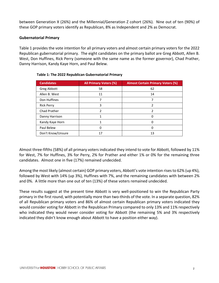between Generation X (26%) and the Millennial/Generation Z cohort (26%). Nine out of ten (90%) of these GOP primary voters identify as Republican, 8% as Independent and 2% as Democrat.

#### **Gubernatorial Primary**

Table 1 provides the vote intention for all primary voters and almost certain primary voters for the 2022 Republican gubernatorial primary. The eight candidates on the primary ballot are Greg Abbott, Allen B. West, Don Huffines, Rick Perry (someone with the same name as the former governor), Chad Prather, Danny Harrison, Kandy Kaye Horn, and Paul Belew.

| <b>Candidates</b> | <b>All Primary Voters (%)</b> | <b>Almost Certain Primary Voters (%)</b> |
|-------------------|-------------------------------|------------------------------------------|
| Greg Abbott       | 58                            | 62                                       |
| Allen B. West     | 11                            | 14                                       |
| Don Huffines      |                               |                                          |
| <b>Rick Perry</b> | 3                             | 2                                        |
| Chad Prather      | 2                             | 2                                        |
| Danny Harrison    | 1                             |                                          |
| Kandy Kaye Horn   |                               | O                                        |
| Paul Belew        | 0                             | 0                                        |
| Don't Know/Unsure | 17                            | 13                                       |

#### **Table 1: The 2022 Republican Gubernatorial Primary**

Almost three‐fifths (58%) of all primary voters indicated they intend to vote for Abbott, followed by 11% for West, 7% for Huffines, 3% for Perry, 2% for Prather and either 1% or 0% for the remaining three candidates. Almost one in five (17%) remained undecided.

Among the most likely (almost certain) GOP primary voters, Abbott's vote intention risesto 62% (up 4%), followed by West with 14% (up 3%), Huffines with 7%, and the remaining candidates with between 2% and 0%. A little more than one out of ten (13%) of these voters remained undecided.

These results suggest at the present time Abbott is very well‐positioned to win the Republican Party primary in the first round, with potentially more than two‐thirds of the vote. In a separate question, 82% of all Republican primary voters and 86% of almost certain Republican primary voters indicated they would consider voting for Abbott in the Republican Primary compared to only 13% and 11% respectively who indicated they would never consider voting for Abbott (the remaining 5% and 3% respectively indicated they didn't know enough about Abbott to have a position either way).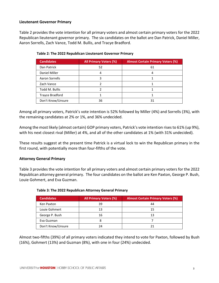#### **Lieutenant Governor Primary**

Table 2 provides the vote intention for all primary voters and almost certain primary voters for the 2022 Republican lieutenant governor primary. The six candidates on the ballot are Dan Patrick, Daniel Miller, Aaron Sorrells, Zach Vance, Todd M. Bullis, and Tracye Bradford.

| <b>Candidates</b>      | <b>All Primary Voters (%)</b> | <b>Almost Certain Primary Voters (%)</b> |
|------------------------|-------------------------------|------------------------------------------|
| Dan Patrick            | 52                            | 61                                       |
| Daniel Miller          | 4                             |                                          |
| Aaron Sorrells         | 3                             |                                          |
| Zach Vance             |                               |                                          |
| Todd M. Bullis         |                               |                                          |
| <b>Trayce Bradford</b> |                               |                                          |
| Don't Know/Unsure      | 36                            |                                          |

**Table 2: The 2022 Republican Lieutenant Governor Primary**

Among all primary voters, Patrick's vote intention is 52% followed by Miller (4%) and Sorrells (3%), with the remaining candidates at 2% or 1%, and 36% undecided.

Among the most likely (almost certain) GOP primary voters, Patrick's vote intention rises to 61% (up 9%), with his next closest rival (Miller) at 4%, and all of the other candidates at 1% (with 31% undecided).

These results suggest at the present time Patrick is a virtual lock to win the Republican primary in the first round, with potentially more than four-fifths of the vote.

#### **Attorney General Primary**

Table 3 provides the vote intention for all primary voters and almost certain primary voters for the 2022 Republican attorney general primary. The four candidates on the ballot are Ken Paxton, George P. Bush, Louie Gohmert, and Eva Guzman.

| <b>Candidates</b> | <b>All Primary Voters (%)</b> | <b>Almost Certain Primary Voters (%)</b> |
|-------------------|-------------------------------|------------------------------------------|
| Ken Paxton        | 39                            | 44                                       |
| Louie Gohmert     | 13                            | 15                                       |
| George P. Bush    | 16                            | 13                                       |
| Eva Guzman        | 8                             |                                          |
| Don't Know/Unsure | 24                            |                                          |

| Table 3: The 2022 Republican Attorney General Primary |  |
|-------------------------------------------------------|--|
|-------------------------------------------------------|--|

Almost two‐fifths (39%) of all primary voters indicated they intend to vote for Paxton, followed by Bush (16%), Gohmert (13%) and Guzman (8%), with one in four (24%) undecided.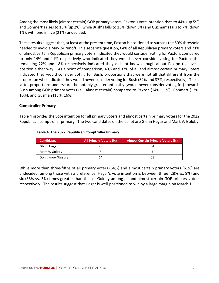Among the most likely (almost certain) GOP primary voters, Paxton's vote intention rises to 44% (up 5%) and Gohmert's rises to 15% (up 2%), while Bush's falls to 13% (down 3%) and Guzman's falls to 7% (down 1%), with one in five (21%) undecided.

These results suggest that, at least at the present time, Paxton is positioned to surpass the 50% threshold needed to avoid a May 24 runoff. In a separate question, 64% of all Republican primary voters and 71% of almost certain Republican primary voters indicated they would consider voting for Paxton, compared to only 14% and 11% respectively who indicated they would never consider voting for Paxton (the remaining 22% and 18% respectively indicated they did not know enough about Paxton to have a position either way). As a point of comparison, 40% and 37% of all and almost certain primary voters indicated they would consider voting for Bush, proportions that were not all that different from the proportion who indicated they would never consider voting for Bush (32% and 37%, respectively). These latter proportions underscore the notably greater antipathy (would never consider voting for) towards Bush among GOP primary voters (all, almost certain) compared to Paxton (14%, 11%), Gohmert (12%, 10%), and Guzman (15%, 16%).

#### **Comptroller Primary**

Table 4 provides the vote intention for all primary voters and almost certain primary voters for the 2022 Republican comptroller primary. The two candidates on the ballot are Glenn Hegar and Mark V. Goloby.

| <b>Candidates</b> | <b>All Primary Voters (%)</b> | <b>Almost Certain Primary Voters (%)</b> |
|-------------------|-------------------------------|------------------------------------------|
| Glenn Hegar       | 28                            | 34                                       |
| Mark V. Goloby    |                               |                                          |
| Don't Know/Unsure | 64                            |                                          |

#### **Table 4: The 2022 Republican Comptroller Primary**

While more than three-fifths of all primary voters (64%) and almost certain primary voters (61%) are undecided, among those with a preference, Hegar's vote intention is between three (28% vs. 8%) and six (35% vs. 5%) times greater than that of Goloby among all and almost certain GOP primary voters respectively. The results suggest that Hegar is well‐positioned to win by a large margin on March 1.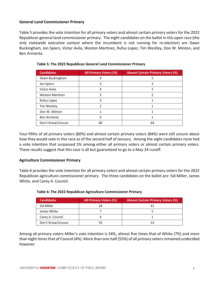#### **General Land Commissioner Primary**

Table 5 provides the vote intention for all primary voters and almost certain primary voters for the 2022 Republican general land commissioner primary. The eight candidates on the ballot in this open race (the only statewide executive contest where the incumbent is not running for re‐election) are Dawn Buckingham, Jon Spiers, Victor Avila, Weston Martinez, Rufus Lopez, Tim Westley, Don W. Minton, and Ben Armenta.

| <b>Candidates</b>      | <b>All Primary Voters (%)</b> | <b>Almost Certain Primary Voters (%)</b> |
|------------------------|-------------------------------|------------------------------------------|
| Dawn Buckingham        | 4                             | 5                                        |
| Jon Spiers             | 3                             | 3                                        |
| Victor Avila           | 4                             |                                          |
| <b>Weston Martinez</b> | 3                             |                                          |
| Rufus Lopez            | 3                             |                                          |
| Tim Westley            | 2                             |                                          |
| Don W. Minton          |                               |                                          |
| Ben Armenta            | 0                             |                                          |
| Don't Know/Unsure      | 80                            | 84                                       |

#### **Table 5: The 2022 Republican General Land Commissioner Primary**

Four‐fifths of all primary voters (80%) and almost certain primary voters (84%) were still unsure about how they would vote in this race as of the second half of January. Among the eight candidates none had a vote intention that surpassed 5% among either all primary voters or almost certain primary voters. These results suggest that this race is all but guaranteed to go to a May 24 runoff.

#### **Agriculture Commissioner Primary**

Table 6 provides the vote intention for all primary voters and almost certain primary voters for the 2022 Republican agriculture commissioner primary. The three candidates on the ballot are: Sid Miller, James White, and Carey A. Counsil.

| <b>Candidates</b> | <b>All Primary Voters (%)</b> | <b>Almost Certain Primary Voters (%)</b> |
|-------------------|-------------------------------|------------------------------------------|
| Sid Miller        | 34                            |                                          |
| James White       |                               |                                          |
| Carey A. Counsil  |                               |                                          |
| Don't Know/Unsure | 55                            | 53                                       |

#### **Table 6: The 2022 Republican Agriculture Commissioner Primary**

Among all primary voters Miller's vote intention is 34%, almost five times that of White (7%) and more than eight times that of Counsil (4%). More than one-half (55%) of all primary voters remained undecided however.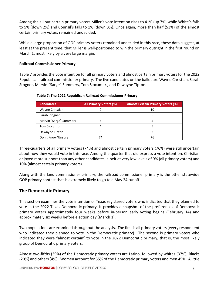Among the all but certain primary voters Miller's vote intention rises to 41% (up 7%) while White's falls to 5% (down 2%) and Counsil's falls to 1% (down 3%). Once again, more than half (53%) of the almost certain primary voters remained undecided.

While a large proportion of GOP primary voters remained undecided in this race, these data suggest, at least at the present time, that Miller is well‐positioned to win the primary outright in the first round on March 1, most likely by a very large margin.

#### **Railroad Commissioner Primary**

Table 7 provides the vote intention for all primary voters and almost certain primary voters for the 2022 Republican railroad commissioner primary. The five candidates on the ballot are Wayne Christian, Sarah Stogner, Marvin "Sarge" Summers, Tom Slocum Jr., and Dawayne Tipton.

| <b>Candidates</b>      | <b>All Primary Voters (%)</b> | <b>Almost Certain Primary Voters (%)</b> |
|------------------------|-------------------------------|------------------------------------------|
| Wayne Christian        | g                             | 10                                       |
| Sarah Stogner          |                               |                                          |
| Marvin "Sarge" Summers |                               |                                          |
| Tom Slocum Jr.         |                               |                                          |
| Dawayne Tipton         |                               |                                          |
| Don't Know/Unsure      | 74                            | 76                                       |

**Table 7: The 2022 Republican Railroad Commissioner Primary**

Three‐quarters of all primary voters (74%) and almost certain primary voters (76%) were still uncertain about how they would vote in this race. Among the quarter that did express a vote intention, Christian enjoyed more support than any other candidates, albeit at very low levels of 9% (all primary voters) and 10% (almost certain primary voters).

Along with the land commissioner primary, the railroad commissioner primary is the other statewide GOP primary contest that is extremely likely to go to a May 24 runoff.

#### **The Democratic Primary**

This section examines the vote intention of Texas registered voters who indicated that they planned to vote in the 2022 Texas Democratic primary. It provides a snapshot of the preferences of Democratic primary voters approximately four weeks before in-person early voting begins (February 14) and approximately six weeks before election day (March 1).

Two populations are examined throughout the analysis. The first is all primary voters (every respondent who indicated they planned to vote in the Democratic primary). The second is primary voters who indicated they were "almost certain" to vote in the 2022 Democratic primary, that is, the most likely group of Democratic primary voters.

Almost two‐fifths (39%) of the Democratic primary voters are Latino, followed by whites (37%), Blacks (20%) and others(4%). Women account for 55% of the Democratic primary voters and men 45%. A little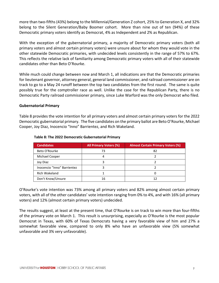more than two‐fifths (43%) belong to the Millennial/Generation Z cohort, 25% to Generation X, and 32% belong to the Silent Generation/Baby Boomer cohort. More than nine out of ten (94%) of these Democratic primary voters identify as Democrat, 4% as Independent and 2% as Republican.

With the exception of the gubernatorial primary, a majority of Democratic primary voters (both all primary voters and almost certain primary voters) were unsure about for whom they would vote in the other statewide Democratic primaries, with undecided levels consistently in the range of 57% to 67%. This reflects the relative lack of familiarity among Democratic primary voters with all of their statewide candidates other than Beto O'Rourke.

While much could change between now and March 1, all indications are that the Democratic primaries for lieutenant governor, attorney general, general land commissioner, and railroad commissioner are on track to go to a May 24 runoff between the top two candidates from the first round. The same is quite possibly true for the comptroller race as well. Unlike the case for the Republican Party, there is no Democratic Party railroad commissioner primary, since Luke Warford was the only Democrat who filed.

#### **Gubernatorial Primary**

Table 8 provides the vote intention for all primary voters and almost certain primary voters for the 2022 Democratic gubernatorial primary. The five candidates on the primary ballot are Beto O'Rourke, Michael Cooper, Joy Diaz, Inocencio "Inno" Barrientez, and Rich Wakeland.

| <b>Candidates</b>           | <b>All Primary Voters (%)</b> | <b>Almost Certain Primary Voters (%)</b> |
|-----------------------------|-------------------------------|------------------------------------------|
| Beto O'Rourke               | 73                            | 82                                       |
| Michael Cooper              |                               |                                          |
| Joy Diaz                    |                               |                                          |
| Inocencio "Inno" Barrientez |                               |                                          |
| Rich Wakeland               |                               |                                          |
| Don't Know/Unsure           | 16                            |                                          |

#### **Table 8: The 2022 Democratic Gubernatorial Primary**

O'Rourke's vote intention was 73% among all primary voters and 82% among almost certain primary voters, with all of the other candidates' vote intention ranging from 0% to 4%, and with 16% (all primary voters) and 12% (almost certain primary voters) undecided.

The results suggest, at least at the present time, that O'Rourke is on track to win more than four‐fifths of the primary vote on March 1. This result is unsurprising, especially as O'Rourke is the most popular Democrat in Texas, with 60% of Texas Democrats having a very favorable view of him and 27% a somewhat favorable view, compared to only 8% who have an unfavorable view (5% somewhat unfavorable and 3% very unfavorable).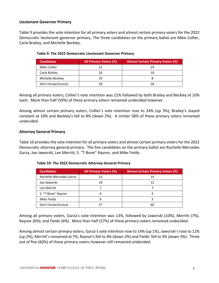#### **Lieutenant Governor Primary**

Table 9 provides the vote intention for all primary voters and almost certain primary voters for the 2022 Democratic lieutenant governor primary. The three candidates on the primary ballot are Mike Collier, Carla Brailey, and Michelle Beckley.

| <b>Candidates</b> | <b>All Primary Voters (%)</b> | <b>Almost Certain Primary Voters (%)</b> |
|-------------------|-------------------------------|------------------------------------------|
| Mike Collier      | 21                            | 24                                       |
| Carla Brailey     | 10                            | 10                                       |
| Michelle Beckley  | 10                            |                                          |
| Don't Know/Unsure | 59                            | 58                                       |

#### **Table 9: The 2022 Democratic Lieutenant Governor Primary**

Among all primary voters, Collier's vote intention was 21% followed by both Brailey and Beckley at 10% each. More than half (59%) of these primary voters remained undecided however.

Among almost certain primary voters, Collier's vote intention rose to 24% (up 3%), Brailey's stayed constant at 10% and Beckley's fell to 8% (down 2%). A similar 58% of these primary voters remained undecided.

#### **Attorney General Primary**

Table 10 providesthe vote intention for all primary voters and almost certain primary votersfor the 2022 Democratic attorney general primary. The five candidates on the primary ballot are Rochelle Mercedes Garza, Joe Jaworski, Lee Merritt, S. "T‐Bone" Raynor, and Mike Fields.

| <b>Candidates</b>       | <b>All Primary Voters (%)</b> | <b>Almost Certain Primary Voters (%)</b> |
|-------------------------|-------------------------------|------------------------------------------|
| Rochelle Mercedes Garza | 13                            | 14                                       |
| Joe Jaworski            | 10                            | 12                                       |
| Lee Merritt             |                               |                                          |
| S. "T-Bone" Raynor      | 6                             |                                          |
| Mike Fields             | 6                             |                                          |
| Don't Know/Unsure       |                               | 60                                       |

#### **Table 10: The 2022 Democratic Attorney General Primary**

Among all primary voters, Garza's vote intention was 13%, followed by Jaworski (10%), Merritt (7%), Raynor (6%), and Fields (6%). More than half (57%) of these primary voters remained undecided.

Among almost certain primary voters, Garza's vote intention rose to 14% (up 1%), Jaworski's rose to 12% (up 2%), Merritt's remained at 7%, Raynor's fell to 4% (down 2%) and Fields' fell to 3% (down 3%). Three out of five (60%) of these primary voters however still remained undecided.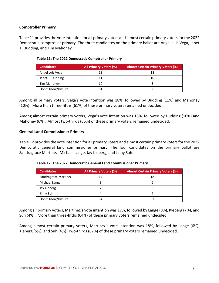#### **Comptroller Primary**

Table 11 provides the vote intention for all primary voters and almost certain primary voters for the 2022 Democratic comptroller primary. The three candidates on the primary ballot are Ángel Luis Vega, Janet T. Dudding, and Tim Mahoney.

| <b>Candidates</b> | <b>All Primary Voters (%)</b> | <b>Almost Certain Primary Voters (%)</b> |
|-------------------|-------------------------------|------------------------------------------|
| Ángel Luis Vega   | 18                            | 18                                       |
| Janet T. Dudding  |                               |                                          |
| Tim Mahoney       | 10                            |                                          |
| Don't Know/Unsure | 61                            | 66                                       |

#### **Table 11: The 2022 Democratic Comptroller Primary**

Among all primary voters, Vega's vote intention was 18%, followed by Dudding (11%) and Mahoney (10%). More than three‐fifths (61%) of these primary voters remained undecided.

Among almost certain primary voters, Vega's vote intention was 18%, followed by Dudding (10%) and Mahoney (6%). Almost two‐thirds (66%) of these primary voters remained undecided.

#### **General Land Commissioner Primary**

Table 12 provides the vote intention for all primary voters and almost certain primary voters for the 2022 Democratic general land commissioner primary. The four candidates on the primary ballot are Sandragrace Martinez, Michael Lange, Jay Kleberg, and Jinny Suh.

| <b>Candidates</b>    | <b>All Primary Voters (%)</b> | <b>Almost Certain Primary Voters (%)</b> |  |
|----------------------|-------------------------------|------------------------------------------|--|
| Sandragrace Martinez |                               | 18                                       |  |
| Michael Lange        | 8                             |                                          |  |
| Jay Kleberg          |                               |                                          |  |
| Jinny Suh            | 4                             |                                          |  |
| Don't Know/Unsure    | 64                            |                                          |  |

#### **Table 12: The 2022 Democratic General Land Commissioner Primary**

Among all primary voters, Martinez's vote intention was 17%, followed by Lange (8%), Kleberg (7%), and Suh (4%). More than three‐fifths (64%) of these primary voters remained undecided.

Among almost certain primary voters, Martinez's vote intention was 18%, followed by Lange (6%), Kleberg (5%), and Suh (4%). Two‐thirds (67%) of these primary voters remained undecided.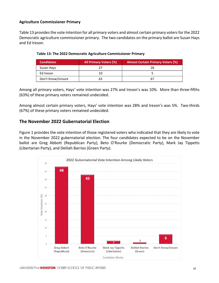#### **Agriculture Commissioner Primary**

Table 13 provides the vote intention for all primary voters and almost certain primary voters for the 2022 Democratic agriculture commissioner primary. The two candidates on the primary ballot are Susan Hays and Ed Ireson.

| <b>Candidates</b> | <b>All Primary Voters (%)</b> | <b>Almost Certain Primary Voters (%)</b> |  |
|-------------------|-------------------------------|------------------------------------------|--|
| Susan Hays        |                               | 28                                       |  |
| Ed Ireson         | 10                            |                                          |  |
| Don't Know/Unsure | 63                            |                                          |  |

| Table 13: The 2022 Democratic Agriculture Commissioner Primary |  |
|----------------------------------------------------------------|--|
|----------------------------------------------------------------|--|

Among all primary voters, Hays' vote intention was 27% and Ireson's was 10%. More than three‐fifths (63%) of these primary voters remained undecided.

Among almost certain primary voters, Hays' vote intention was 28% and Ireson's was 5%. Two‐thirds (67%) of these primary voters remained undecided.

#### **The November 2022 Gubernatorial Election**

Figure 1 provides the vote intention of those registered voters who indicated that they are likely to vote in the November 2022 gubernatorial election. The four candidates expected to be on the November ballot are Greg Abbott (Republican Party), Beto O'Rourke (Democratic Party), Mark Jay Tippetts (Libertarian Party), and Delilah Barrios (Green Party).

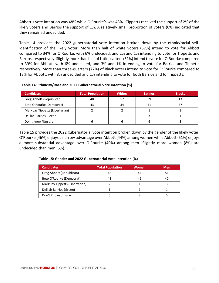Abbott's vote intention was 48% while O'Rourke's was 43%. Tippetts received the support of 2% of the likely voters and Barrios the support of 1%. A relatively small proportion of voters (6%) indicated that they remained undecided.

Table 14 provides the 2022 gubernatorial vote intention broken down by the ethnic/racial self‐ identification of the likely voter. More than half of white voters (57%) intend to vote for Abbott compared to 34% for O'Rourke, with 6% undecided, and 2% and 1% intending to vote for Tippetts and Barrios, respectively. Slightly more than half of Latino voters (51%) intend to vote for O'Rourke compared to 39% for Abbott, with 6% undecided, and 3% and 1% intending to vote for Barrios and Tippetts respectively. More than three‐quarters (77%) of Black voters intend to vote for O'Rourke compared to 13% for Abbott, with 8% undecided and 1% intending to vote for both Barrios and for Tippetts.

| Table 14: Ethnicity/Race and 2022 Gubernatorial Vote Intention (%) |
|--------------------------------------------------------------------|
|--------------------------------------------------------------------|

| <b>Candidates</b>               | <b>Total Population</b> | <b>Whites</b> | Latinos | <b>Blacks</b> |
|---------------------------------|-------------------------|---------------|---------|---------------|
| Greg Abbott (Republican)        | 48                      | 57            | 39      |               |
| Beto O'Rourke (Democrat)        | 43                      | 34            | 51      |               |
| Mark Jay Tippetts (Libertarian) |                         |               |         |               |
| Delilah Barrios (Green)         |                         |               |         |               |
| Don't Know/Unsure               |                         |               |         |               |

Table 15 provides the 2022 gubernatorial vote intention broken down by the gender of the likely voter. O'Rourke (46%) enjoys a narrow advantage over Abbott (44%) among women while Abbott (51%) enjoys a more substantial advantage over O'Rourke (40%) among men. Slightly more women (8%) are undecided than men (5%).

| <b>Candidates</b>               | <b>Total Population</b> | <b>Women</b> | <b>Men</b> |
|---------------------------------|-------------------------|--------------|------------|
| Greg Abbott (Republican)        |                         | 44           | 51         |
| Beto O'Rourke (Democrat)        |                         | 46           |            |
| Mark Jay Tippetts (Libertarian) |                         |              |            |
| Delilah Barrios (Green)         |                         |              |            |
| Don't Know/Unsure               |                         |              |            |

#### **Table 15: Gender and 2022 Gubernatorial Vote Intention (%)**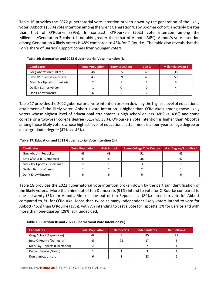Table 16 provides the 2022 gubernatorial vote intention broken down by the generation of the likely voter. Abbott's(55%) vote intention among the Silent Generation/Baby Boomer cohort is notably greater than that of O'Rourke (39%). In contrast, O'Rourke's (50%) vote intention among the Millennial/Generation Z cohort is notably greater than that of Abbott (36%). Abbott's vote intention among Generation X likely voters is 48% compared to 43% for O'Rourke. The table also reveals that the lion's share of Barrios' support comes from younger voters.

| <b>Candidates</b>               | <b>Total Population</b> | <b>Boomers/Silent</b> | Gen-X | <b>Millennials/Gen Z</b> |
|---------------------------------|-------------------------|-----------------------|-------|--------------------------|
| Greg Abbott (Republican)        | 48                      | 55                    | 48    | 36                       |
| Beto O'Rourke (Democrat)        | 43                      | 39                    | 43    | 50                       |
| Mark Jay Tippetts (Libertarian) |                         |                       |       |                          |
| Delilah Barrios (Green)         |                         |                       |       |                          |
| Don't Know/Unsure               |                         |                       |       |                          |

#### **Table 16: Generation and 2022 Gubernatorial Vote Intention (%)**

Table 17 providesthe 2022 gubernatorial vote intention broken down by the highest level of educational attainment of the likely voter. Abbott's vote intention is higher than O'Rourke's among those likely voters whose highest level of educational attainment is high school or less (48% vs. 43%) and some college or a two‐year college degree (51% vs. 38%). O'Rourke's vote intention is higher than Abbott's among those likely voters whose highest level of educational attainment is a four‐year college degree or a postgraduate degree (47% vs. 45%).

#### **Table 17: Education and 2022 Gubernatorial Vote Intention (%)**

| <b>Candidates</b>               | <b>Total Population</b> | <b>High School</b> | Some College/2 Yr Degree | 4 Yr Degree/Post-Grad |
|---------------------------------|-------------------------|--------------------|--------------------------|-----------------------|
| Greg Abbott (Republican)        | 48                      | 48                 |                          | 45                    |
| Beto O'Rourke (Democrat)        | 43                      |                    | 38                       | 47                    |
| Mark Jay Tippetts (Libertarian) |                         |                    |                          |                       |
| Delilah Barrios (Green)         |                         |                    |                          |                       |
| Don't Know/Unsure               |                         |                    |                          |                       |

Table 18 provides the 2022 gubernatorial vote intention broken down by the partisan identification of the likely voters. More than nine out of ten Democrats (91%) intend to vote for O'Rourke compared to one in twenty (5%) for Abbott. Almost nine out of ten Republicans (89%) intend to vote for Abbott compared to 3% for O'Rourke. More than twice as many Independent likely voters intend to vote for Abbott (45%) than O'Rourke (17%), with 7% intending to cast a vote for Tippetts, 3% for Barrios and with more than one‐quarter (28%) still undecided.

#### **Table 18: Partisan ID and 2022 Gubernatorial Vote Intention (%)**

| <b>Candidates</b>               | <b>Total Population</b> | <b>Democrats</b> | <b>Independents</b> | <b>Republicans</b> |
|---------------------------------|-------------------------|------------------|---------------------|--------------------|
| Greg Abbott (Republican)        | 48                      |                  | 45                  | 89                 |
| Beto O'Rourke (Democrat)        | 43                      | 91               | 17                  |                    |
| Mark Jay Tippetts (Libertarian) |                         |                  |                     |                    |
| Delilah Barrios (Green)         |                         |                  |                     |                    |
| Don't Know/Unsure               |                         |                  | 28                  |                    |